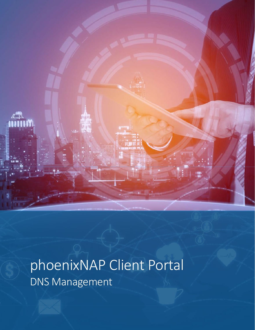

# phoenixNAP Client Portal DNS Management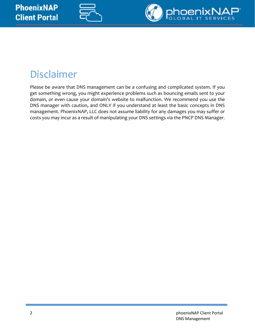



## Disclaimer

Please be aware that DNS management can be a confusing and complicated system. If you get something wrong, you might experience problems such as bouncing emails sent to your domain, or even cause your domain's website to malfunction. We recommend you use the DNS manager with caution, and ONLY if you understand at least the basic concepts in DNS management. PhoenixNAP, LLC does not assume liability for any damages you may suffer or costs you may incur as a result of manipulating your DNS settings via the PNCP DNS Manager.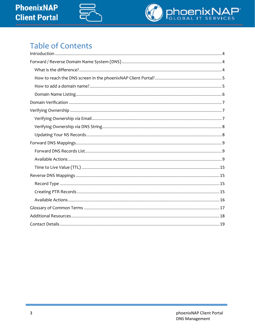



### **Table of Contents**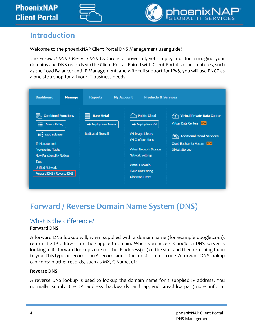



### <span id="page-3-0"></span>**Introduction**

Welcome to the phoenixNAP Client Portal DNS Management user guide!

The *Forward DNS / Reverse DNS* feature is a powerful, yet simple, tool for managing your domains and DNS records via the Client Portal. Paired with Client Portal's other features, such as the Load Balancer and IP Management, and with full support for IPv6, you will use PNCP as a one stop shop for all your IT business needs.

| <b>Dashboard</b><br><b>Manage</b>                                                                                                                                                                                                               | <b>Reports</b>                                                      | <b>Products &amp; Services</b><br><b>My Account</b>                                                                                                                                                                                    |                                                                                                                                                    |
|-------------------------------------------------------------------------------------------------------------------------------------------------------------------------------------------------------------------------------------------------|---------------------------------------------------------------------|----------------------------------------------------------------------------------------------------------------------------------------------------------------------------------------------------------------------------------------|----------------------------------------------------------------------------------------------------------------------------------------------------|
| <b>Combined Functions</b><br>油<br><b>Device Listing</b><br><b>O</b> $\leftarrow$ Load Balancer<br><b>IP Management</b><br>Provisioning Tasks<br><b>New Functionality Notices</b><br>Tags<br><b>Unified Network</b><br>Forward DNS / Reverse DNS | <b>Bare Metal</b><br>Deploy New Server<br><b>Dedicated Firewall</b> | <b>Public Cloud</b><br>Deploy New VM<br><b>VM Image Library</b><br><b>VM Configurations</b><br>Virtual Network Storage<br><b>Network Settings</b><br><b>Virtual Firewalls</b><br><b>Cloud Unit Pricing</b><br><b>Allocation Limits</b> | <b>Virtual Private Data Center</b><br><b>Virtual Data Centers NEW</b><br>Additional Cloud Services<br>Cloud Backup for Veeam NEW<br>Object Storage |

### <span id="page-3-1"></span>**Forward / Reverse Domain Name System (DNS)**

### <span id="page-3-2"></span>What is the difference?

#### **Forward DNS**

A forward DNS lookup will, when supplied with a domain name (for example google.com), return the IP address for the supplied domain. When you access Google, a DNS server is looking in its forward lookup zone for the IP address(es) of the site, and then returning them to you. This type of record is an A record, and is the most common one. A forward DNS lookup can contain other records, such as MX, C-Name, etc.

#### **Reverse DNS**

A reverse DNS lookup is used to lookup the domain name for a supplied IP address. You normally supply the IP address backwards and append .in-addr.arpa (more info at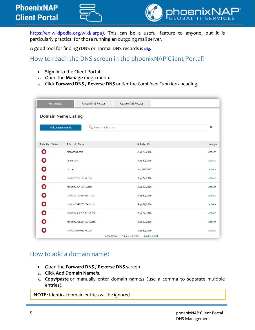



[https://en.wikipedia.org/wiki/.arpa\)](https://en.wikipedia.org/wiki/.arpa). This can be a useful feature to anyone, but it is particularly practical for those running an outgoing mail server.

A good tool for finding rDNS or normal DNS records is **[dig](https://toolbox.googleapps.com/apps/dig/)**.

### <span id="page-4-0"></span>How to reach the DNS screen in the phoenixNAP Client Portal?

- 1. **[Sign in](https://help.phoenixnap.com/Login)** to the Client Portal.
- 2. Open the **Manage** mega menu.
- 3. Click **Forward DNS / Reverse DNS** under the *Combined Functions* heading.

| <b>My Domains</b>                                                           | <b>Forward DNS Records</b> | <b>Reverse DNS Records</b>                                 |                |
|-----------------------------------------------------------------------------|----------------------------|------------------------------------------------------------|----------------|
| <b>Domain Name Listing</b><br>Search my Domains<br><b>Add Domain Name/s</b> |                            |                                                            | $\pmb{\times}$ |
| ♦ Verified Status                                                           | ♦ Domain Name              | $\triangle$ Added On                                       | Manage         |
| ශ                                                                           | blbbababa.com              | Aug/22/2016                                                | <b>Actions</b> |
| $\mathbf x$                                                                 | dingo.com                  | Aug/22/2016                                                | <b>Actions</b> |
| $\mathbf x$                                                                 | md.net                     | Mar/09/2017                                                | <b>Actions</b> |
| B)                                                                          | random123412351.com        | Aug/22/2016                                                | <b>Actions</b> |
| $\mathbf x$                                                                 | random123413412.com        | Aug/22/2016                                                | <b>Actions</b> |
| ×                                                                           | random21424312431.com      | Aug/22/2016                                                | <b>Actions</b> |
| ×                                                                           | random23462352345.com      | Aug/22/2016                                                | <b>Actions</b> |
| ×                                                                           | random235623542354.com     | Aug/22/2016                                                | <b>Actions</b> |
|                                                                             | random235q23452345.com     | Aug/22/2016                                                | <b>Actions</b> |
|                                                                             | random262462354.com        | Aug/22/2016<br>phoenixNAP - 1.855.330.1509 - Email Support | <b>Actions</b> |

### <span id="page-4-1"></span>How to add a domain name?

- 1. Open the **Forward DNS / Reverse DNS** screen.
- 2. Click **Add Domain Name/s**.
- 3. **Copy/paste** or manually enter domain name/s (use a comma to separate multiple entries).

**NOTE:** Identical domain entries will be ignored.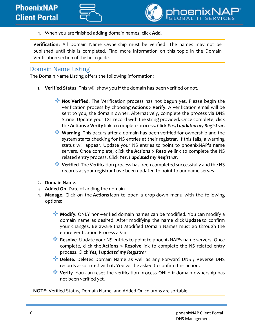

4. When you are finished adding domain names, click **Add**.

**Verification:** All Domain Name Ownership must be verified! The names may not be published until this is completed. Find more information on this topic in the Domain Verification section of the help guide.

### <span id="page-5-0"></span>Domain Name Listing

The Domain Name Listing offers the following information:

- 1. **Verified Status**. This will show you if the domain has been verified or not.
	- **Not Verified**. The Verification process has not begun yet. Please begin the verification process by choosing **Actions** > **Verify**. A verification email will be sent to you, the domain owner. Alternatively, complete the process via DNS String. Update your TXT record with the string provided. Once complete, click the **Actions > Verify** link to complete process. Click *Yes, I updated my Registrar*.
	- **Warning.** This occurs after a domain has been verified for ownership and the system starts checking for NS entries at their registrar. If this fails, a warning status will appear. Update your NS entries to point to phoenixNAP's name servers. Once complete, click the **Actions > Resolve** link to complete the NS related entry process. Click *Yes, I updated my Registrar*.
	- **Verified**. The Verification process has been completed successfully and the NS records at your registrar have been updated to point to our name serves.
- 2. **Domain Name**.
- 3. **Added On**. Date of adding the domain.
- 4. **Manage**. Click on the **Actions** icon to open a drop-down menu with the following options:
	- **Modify**. ONLY non-verified domain names can be modified. You can modify a domain name as desired. After modifying the name click **Update** to confirm your changes. Be aware that Modified Domain Names must go through the entire Verification Process again.
	- **Resolve.** Update your NS entries to point to phoenixNAP's name servers. Once complete, click the **Actions > Resolve** link to complete the NS related entry process. Click *Yes, I updated my Registrar*.
	- **Delete**. Deletes Domain Name as well as any Forward DNS / Reverse DNS records associated with it. You will be asked to confirm this action.
	- **Verify**. You can reset the verification process ONLY if domain ownership has not been verified yet.

**NOTE:** Verified Status, Domain Name, and Added On columns are sortable.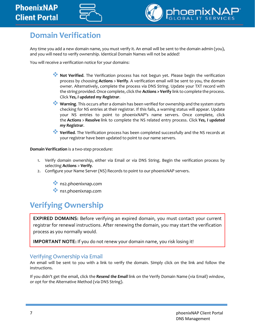### **PhoenixNAP Client Portal**





### <span id="page-6-0"></span>**Domain Verification**

Any time you add a new domain name, you must verify it. An email will be sent to the domain admin (you), and you will need to verify ownership. Identical Domain Names will not be added!

You will receive a verification notice for your domains:

- **Not Verified**. The Verification process has not begun yet. Please begin the verification process by choosing **Actions** > **Verify**. A verification email will be sent to you, the domain owner. Alternatively, complete the process via DNS String. Update your TXT record with the string provided. Once complete, click the **Actions > Verify** link to complete the process. Click *Yes, I updated my Registrar*.
- **Warning**. This occurs after a domain has been verified for ownership and the system starts checking for NS entries at their registrar. If this fails, a warning status will appear. Update your NS entries to point to phoenixNAP's name servers. Once complete, click the **Actions** > **Resolve** link to complete the NS related entry process. Click *Yes, I updated my Registrar*.
- **Verified**. The Verification process has been completed successfully and the NS records at your registrar have been updated to point to our name servers.

**Domain Verification** is a two-step procedure:

- 1. Verify domain ownership, either via Email or via DNS String. Begin the verification process by selecting **Actions** > **Verify**.
- 2. Configure your Name Server (NS) Records to point to our phoenixNAP servers.
	- \*\* ns2.phoenixnap.com
	- \*\* ns1.phoenixnap.com

### <span id="page-6-1"></span>**Verifying Ownership**

**EXPIRED DOMAINS:** Before verifying an expired domain, you must contact your current registrar for renewal instructions. After renewing the domain, you may start the verification process as you normally would.

**IMPORTANT NOTE:** If you do not renew your domain name, you risk losing it!

#### <span id="page-6-2"></span>Verifying Ownership via Email

An email will be sent to you with a link to verify the domain. Simply click on the link and follow the instructions.

If you didn't get the email, click the *Resend the Email* link on the Verify Domain Name (via Email) window, or opt for the Alternative Method (via DNS String).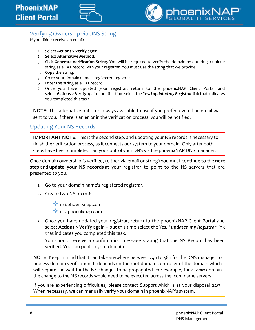



### <span id="page-7-0"></span>Verifying Ownership via DNS String

If you didn't receive an email:

- 1. Select **Actions** > **Verify** again.
- 2. Select **Alternative Method**.
- 3. Click **Generate Verification String**. You will be required to verify the domain by entering a unique string as a TXT record with your registrar. You must use the string that we provide.
- 4. **Copy** the string.
- 5. Go to your domain name's registered registrar.
- 6. Enter the string as a TXT record.
- 7. Once you have updated your registrar, return to the phoenixNAP Client Portal and select **Actions** > **Verify** again – but this time select the *Yes, I updated my Registrar* link that indicates you completed this task.

**NOTE:** This alternative option is always available to use if you prefer, even if an email was sent to you. If there is an error in the verification process, you will be notified.

### <span id="page-7-1"></span>Updating Your NS Records

**IMPORTANT NOTE:** This is the second step, and updating your NS records is necessary to finish the verification process, as it connects our system to your domain. Only after both steps have been completed can you control your DNS via the phoenixNAP DNS manager.

Once domain ownership is verified, (either via email or string) you must continue to the **next step** and **update your NS records** at your registrar to point to the NS servers that are presented to you.

- 1. Go to your domain name's registered registrar.
- 2. Create two NS records:
	- \*\* ns1.phoenixnap.com
	- ns2.phoenixnap.com
- 3. Once you have updated your registrar, return to the phoenixNAP Client Portal and select **Actions** > **Verify** again – but this time select the *Yes, I updated my Registrar* link that indicates you completed this task.

You should receive a confirmation message stating that the NS Record has been verified. You can publish your domain.

**NOTE:** Keep in mind that it can take anywhere between 24h to 48h for the DNS manager to process domain verification. It depends on the root domain controller of the domain which will require the wait for the NS changes to be propagated. For example, for a *.com* domain the change to the NS records would need to be executed across the .com name servers.

If you are experiencing difficulties, please [contact Support](https://help.phoenixnap.com/Support+Options) which is at your disposal 24/7. When necessary, we can manually verify your domain in phoenixNAP's system.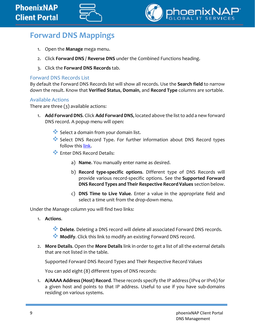

### <span id="page-8-0"></span>**Forward DNS Mappings**

- 1. Open the **Manage** mega menu.
- 2. Click **Forward DNS / Reverse DNS** under the Combined Functions heading.
- 3. Click the **Forward DNS Records** tab.

#### <span id="page-8-1"></span>Forward DNS Records List

By default the Forward DNS Records list will show all records. Use the **Search field** to narrow down the result. Know that **Verified Status**, **Domain**, and **Record Type** columns are sortable.

#### <span id="page-8-2"></span>Available Actions

There are three (3) available actions:

- 1. **Add Forward DNS**. Click **Add Forward DNS**, located above the list to add a new forward DNS record. A popup menu will open:
	- Select a domain from your domain list.
	- Select DNS Record Type. For further information about DNS Record types follow this [link.](http://www.debianhelp.co.uk/dnsrecords.htm)
	- **W** Enter DNS Record Details:
		- a) **Name**. You manually enter name as desired.
		- b) **Record type-specific options**. Different type of DNS Records will provide various record-specific options. See the **Supported Forward DNS Record Types and Their Respective Record Values** section below.
		- c) **DNS Time to Live Value**. Enter a value in the appropriate field and select a time unit from the drop-down menu.

Under the Manage column you will find two links:

1. **Actions**.

**Delete.** Deleting a DNS record will delete all associated Forward DNS records.

- **Modify.** Click this link to modify an existing Forward DNS record.
- 2. **More Details**. Open the **More Details** link in order to get a list of all the external details that are not listed in the table.

Supported Forward DNS Record Types and Their Respective Record Values

You can add eight (8) different types of DNS records:

1. **A/AAAA Address (Host) Record**. These records specify the IP address (IPv4 or IPv6) for a given host and points to that IP address. Useful to use if you have sub-domains residing on various systems.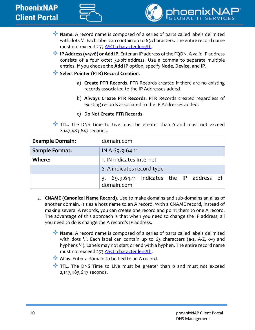



- **Name**. A record name is composed of a series of parts called labels delimited with dots '.'. Each label can contain up to 63 characters. The entire record name must not exceed 253 [ASCII character length.](https://en.wikipedia.org/wiki/ASCII#ASCII_printable_characters)
- **IP Address (v4/v6) or Add IP.** Enter an IP address of the FQDN. A valid IP address consists of a four octet 32-bit address. Use a comma to separate multiple entries. If you choose the **Add IP** option, specify **Node**, **Device**, and **IP**.
- **Select Pointer (PTR) Record Creation.** 
	- a) **Create PTR Records**. PTR Records created if there are no existing records associated to the IP Addresses added.
	- b) **Always Create PTR Records**. PTR Records created regardless of existing records associated to the IP Addresses added.
	- c) **Do Not Create PTR Records**.
- TIL. The DNS Time to Live must be greater than 0 and must not exceed 2,147,483,647 seconds.

| <b>Example Domain:</b> | domain.com                                                 |
|------------------------|------------------------------------------------------------|
| <b>Sample Format:</b>  | IN A 69.9.64.11                                            |
| Where:                 | 1. IN indicates Internet                                   |
|                        | 2. A indicates record type                                 |
|                        | 69.9.64.11 indicates the IP address of<br>3.<br>domain.com |

- 2. **CNAME (Canonical Name Record)**. Use to make domains and sub-domains an alias of another domain. It ties a host name to an A record. With a CNAME record, instead of making several A records, you can create one record and point them to one A record. The advantage of this approach is that when you need to change the IP address, all you need to do is change the A record's IP address.
	- **Name**. A record name is composed of a series of parts called labels delimited with dots '.'. Each label can contain up to 63 characters (a-z, A-Z, 0-9 and hyphens '-'). Labels may not start or end with a hyphen. The entire record name must not exceed 253 [ASCII character length.](https://en.wikipedia.org/wiki/ASCII#ASCII_printable_characters)
	- **Alias.** Enter a domain to be tied to an A record.
	- TIL. The DNS Time to Live must be greater than 0 and must not exceed 2,147,483,647 seconds.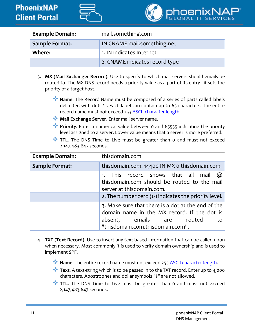



| <b>Example Domain:</b> | mail.something.com             |
|------------------------|--------------------------------|
| <b>Sample Format:</b>  | IN CNAME mail.something.net    |
| Where:                 | 1. IN indicates Internet       |
|                        | 2. CNAME indicates record type |

- 3. **MX (Mail Exchanger Record)**. Use to specify to which mail servers should emails be routed to. The MX DNS record needs a priority value as a part of its entry - it sets the priority of a target host.
	- **Name**. The Record Name must be composed of a series of parts called labels delimited with dots '.'. Each label can contain up to 63 characters. The entire record name must not exceed 253 [ASCII character length.](https://en.wikipedia.org/wiki/ASCII#ASCII_printable_characters)
	- **Mail Exchange Server**. Enter mail server name.
	- **Priority.** Enter a numerical value between 0 and 65535 indicating the priority level assigned to a server. Lower value means that a server is more preferred.
	- TIL. The DNS Time to Live must be greater than 0 and must not exceed 2,147,483,647 seconds.

| <b>Example Domain:</b> | thisdomain.com                                                                                                                                                           |
|------------------------|--------------------------------------------------------------------------------------------------------------------------------------------------------------------------|
| <b>Sample Format:</b>  | thisdomain.com. 14400 IN MX o thisdomain.com.                                                                                                                            |
|                        | 1. This record shows that all mail @<br>thisdomain.com should be routed to the mail<br>server at thisdomain.com.<br>2. The number zero (o) indicates the priority level. |
|                        | 3. Make sure that there is a dot at the end of the<br>domain name in the MX record. If the dot is<br>absent, emails are routed<br>to<br>"thisdomain.com.thisdomain.com". |

- 4. **TXT (Text Record)**. Use to insert any text-based information that can be called upon when necessary. Most commonly it is used to verify domain ownership and is used to implement SPF.
	- **Name**. The entire record name must not exceed 253 [ASCII character length.](https://en.wikipedia.org/wiki/ASCII#ASCII_printable_characters)
	- **Text.** A text-string which is to be passed in to the TXT record. Enter up to 4,000 characters. Apostrophes and dollar symbols "\$" are not allowed.
	- **TTL.** The DNS Time to Live must be greater than 0 and must not exceed 2,147,483,647 seconds.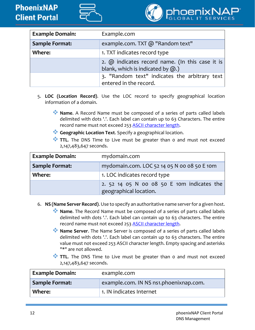



| <b>Example Domain:</b> | Example.com                                                                                     |
|------------------------|-------------------------------------------------------------------------------------------------|
| <b>Sample Format:</b>  | example.com. TXT @ "Random text"                                                                |
| <b>Where:</b>          | 1. TXT indicates record type                                                                    |
|                        | 2. $\omega$ indicates record name. (In this case it is<br>blank, which is indicated by $(2)$ .) |
|                        | 3. "Random text" indicates the arbitrary text<br>entered in the record.                         |

- 5. **LOC (Location Record)**. Use the LOC record to specify geographical location information of a domain.
	- **Name**. A Record Name must be composed of a series of parts called labels delimited with dots '.'. Each label can contain up to 63 Characters. The entire record name must not exceed 253 [ASCII character length.](https://en.wikipedia.org/wiki/ASCII#ASCII_printable_characters)
	- **Geographic Location Text**. Specify a geographical location.
	- TIL. The DNS Time to Live must be greater than 0 and must not exceed 2,147,483,647 seconds.

| <b>Example Domain:</b> | mydomain.com                                                         |
|------------------------|----------------------------------------------------------------------|
| <b>Sample Format:</b>  | mydomain.com. LOC 52 14 05 N 00 08 50 E 10m                          |
| Where:                 | 1. LOC indicates record type                                         |
|                        | 2. 52 14 05 N 00 08 50 E 10m indicates the<br>geographical location. |

- 6. **NS (Name Server Record)**. Use to specify an authoritative name server for a given host.
	- **Name.** The Record Name must be composed of a series of parts called labels delimited with dots '.'. Each label can contain up to 63 characters. The entire record name must not exceed 253 [ASCII character length.](https://en.wikipedia.org/wiki/ASCII#ASCII_printable_characters)
	- **Name Server**. The Name Server is composed of a series of parts called labels delimited with dots '.'. Each label can contain up to 63 characters. The entire value must not exceed 253 ASCII character length. Empty spacing and asterisks "\*" are not allowed.
	- TIL. The DNS Time to Live must be greater than 0 and must not exceed 2,147,483,647 seconds.

| <b>Example Domain:</b> | example.com                            |
|------------------------|----------------------------------------|
| <b>Sample Format:</b>  | example.com. IN NS ns1.phoenixnap.com. |
| Where:                 | 1. IN indicates Internet               |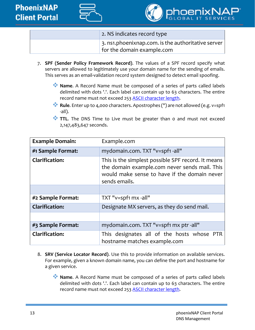



| 2. NS indicates record type                                        |
|--------------------------------------------------------------------|
| $\vert$ 3. ns1.phoenixnap.com. is the authoritative server $\vert$ |
| for the domain example.com                                         |

- 7. **SPF (Sender Policy Framework Record)**. The values of a SPF record specify what servers are allowed to legitimately use your domain name for the sending of emails. This serves as an email-validation record system designed to detect email spoofing.
	- **Name**. A Record Name must be composed of a series of parts called labels delimited with dots '.'. Each label can contain up to 63 characters. The entire record name must not exceed 253 [ASCII character length.](https://en.wikipedia.org/wiki/ASCII#ASCII_printable_characters)
	- **Rule**. Enter up to 4,000 characters. Apostrophes (") are not allowed (e.g. v=spf1 -all).
	- TIL. The DNS Time to Live must be greater than 0 and must not exceed 2,147,483,647 seconds.

| <b>Example Domain:</b> | Example.com                                                                                                                                                          |
|------------------------|----------------------------------------------------------------------------------------------------------------------------------------------------------------------|
| #1 Sample Format:      | mydomain.com. TXT "v=spf1 -all"                                                                                                                                      |
| <b>Clarification:</b>  | This is the simplest possible SPF record. It means<br>the domain example.com never sends mail. This<br>would make sense to have if the domain never<br>sends emails. |
|                        |                                                                                                                                                                      |
| #2 Sample Format:      | TXT "v=spf1 mx -all"                                                                                                                                                 |
| <b>Clarification:</b>  | Designate MX servers, as they do send mail.                                                                                                                          |
|                        |                                                                                                                                                                      |
| #3 Sample Format:      | mydomain.com. TXT "v=spf1 mx ptr -all"                                                                                                                               |
| <b>Clarification:</b>  | This designates all of the hosts whose PTR<br>hostname matches example.com                                                                                           |

- 8. **SRV (Service Locator Record)**. Use this to provide information on available services. For example, given a known domain name, you can define the port and hostname for a given service.
	- **Name**. A Record Name must be composed of a series of parts called labels delimited with dots '.'. Each label can contain up to 63 characters. The entire record name must not exceed 253 [ASCII character length.](https://en.wikipedia.org/wiki/ASCII#ASCII_printable_characters)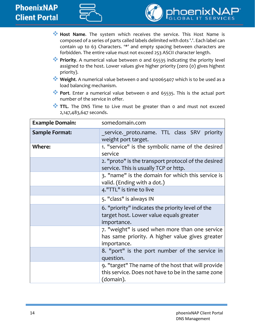



- **Host Name**. The system which receives the service. This Host Name is composed of a series of parts called labels delimited with dots '.'. Each label can contain up to 63 Characters. '\*' and empty spacing between characters are forbidden. The entire value must not exceed 253 ASCII character length.
- **Priority.** A numerical value between 0 and 65535 indicating the priority level assigned to the host. Lower values give higher priority (zero (0) gives highest priority).
- **Weight**. A numerical value between 0 and 1410065407 which is to be used as a load balancing mechanism.
- **Port**. Enter a numerical value between 0 and 65535. This is the actual port number of the service in offer.
- TIL. The DNS Time to Live must be greater than 0 and must not exceed 2,147,483,647 seconds.

| <b>Example Domain:</b> | somedomain.com                                                                                                        |
|------------------------|-----------------------------------------------------------------------------------------------------------------------|
| <b>Sample Format:</b>  | service. proto.name. TTL class SRV priority<br>weight port target.                                                    |
| <b>Where:</b>          | 1. "service" is the symbolic name of the desired<br>service                                                           |
|                        | 2. "proto" is the transport protocol of the desired<br>service. This is usually TCP or http.                          |
|                        | 3. "name" is the domain for which this service is<br>valid. (Ending with a dot.)                                      |
|                        | 4."TTL" is time to live                                                                                               |
|                        | 5. "class" is always IN                                                                                               |
|                        | 6. "priority" indicates the priority level of the<br>target host. Lower value equals greater<br>importance.           |
|                        | 7. "weight" is used when more than one service<br>has same priority. A higher value gives greater<br>importance.      |
|                        | 8. "port" is the port number of the service in<br>question.                                                           |
|                        | 9. "target" The name of the host that will provide<br>this service. Does not have to be in the same zone<br>(domain). |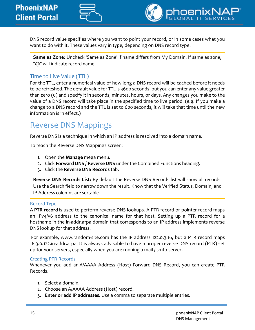



DNS record value specifies where you want to point your record, or in some cases what you want to do with it. These values vary in type, depending on DNS record type.

**Same as Zone:** Uncheck 'Same as Zone' if name differs from My Domain. If same as zone, "@" will indicate record name.

### <span id="page-14-0"></span>Time to Live Value (TTL)

For the TTL, enter a numerical value of how long a DNS record will be cached before it needs to be refreshed. The default value for TTL is 3600 seconds, but you can enter any value greater than zero (0) and specify it in seconds, minutes, hours, or days. Any changes you make to the value of a DNS record will take place in the specified time to live period. (e.g. If you make a change to a DNS record and the TTL is set to 600 seconds, it will take that time until the new information is in effect.)

### <span id="page-14-1"></span>Reverse DNS Mappings

Reverse DNS is a technique in which an IP address is resolved into a domain name.

To reach the Reverse DNS Mappings screen:

- 1. Open the **Manage** mega menu.
- 2. Click **Forward DNS / Reverse DNS** under the Combined Functions heading.
- 3. Click the **Reverse DNS Records** tab.

**Reverse DNS Records List:** By default the Reverse DNS Records list will show all records. Use the Search field to narrow down the result. Know that the Verified Status, Domain, and IP Address columns are sortable.

#### <span id="page-14-2"></span>Record Type

A **PTR record** is used to perform reverse DNS lookups. A PTR record or pointer record maps an IPv4/v6 address to the canonical name for that host. Setting up a PTR record for a hostname in the in-addr.arpa domain that corresponds to an IP address implements reverse DNS lookup for that address.

For example, www.random-site.com has the IP address 122.0.3.16, but a PTR record maps 16.3.0.122.in-addr.arpa. It is always advisable to have a proper reverse DNS record (PTR) set up for your servers, especially when you are running a mail / smtp server.

#### <span id="page-14-3"></span>Creating PTR Records

Whenever you add an A/AAAA Address (Host) Forward DNS Record, you can create PTR Records.

- 1. Select a domain.
- 2. Choose an A/AAAA Address (Host) record.
- 3. **Enter or add IP addresses**. Use a comma to separate multiple entries.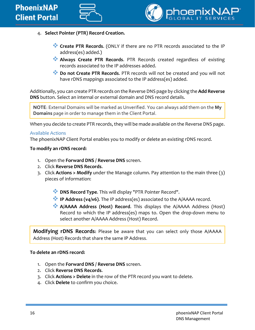



- 4. **Select Pointer (PTR) Record Creation.**
	- **Create PTR Records**. (ONLY if there are no PTR records associated to the IP address(es) added.)
	- **Always Create PTR Records**. PTR Records created regardless of existing records associated to the IP addresses added.
	- **Do not Create PTR Records**. PTR records will not be created and you will not have rDNS mappings associated to the IP address(es) added.

Additionally, you can create PTR records on the Reverse DNS page by clicking the **Add Reverse DNS** button. Select an internal or external domain and DNS record details.

**NOTE**: External Domains will be marked as Unverified. You can always add them on the **My Domains** page in order to manage them in the Client Portal.

When you decide to create PTR records, they will be made available on the Reverse DNS page.

#### <span id="page-15-0"></span>Available Actions

The phoenixNAP Client Portal enables you to modify or delete an existing rDNS record.

#### **To modify an rDNS record:**

- 1. Open the **Forward DNS / Reverse DNS** screen.
- 2. Click **Reverse DNS Records**.
- 3. Click **Actions > Modify** under the Manage column. Pay attention to the main three (3) pieces of information:
	- **DNS Record Type.** This will display "PTR Pointer Record".
	- **IP Address (v4/v6)**. The IP address(es) associated to the A/AAAA record.
	- **A/AAAA Address (Host) Record**. This displays the A/AAAA Address (Host) Record to which the IP address(es) maps to. Open the drop-down menu to select another A/AAAA Address (Host) Record.

**Modifying rDNS Records:** Please be aware that you can select only those A/AAAA Address (Host) Records that share the same IP Address.

#### **To delete an rDNS record:**

- 1. Open the **Forward DNS / Reverse DNS** screen.
- 2. Click **Reverse DNS Records**.
- 3. Click **Actions > Delete** in the row of the PTR record you want to delete.
- 4. Click **Delete** to confirm you choice.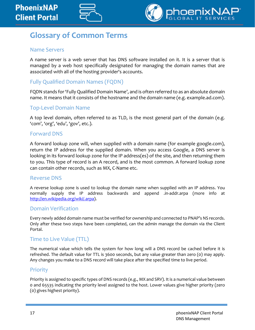

### <span id="page-16-0"></span>**Glossary of Common Terms**

#### Name Servers

A name server is a web server that has DNS software installed on it. It is a server that is managed by a web host specifically designated for managing the domain names that are associated with all of the hosting provider's accounts.

### Fully Qualified Domain Names (FQDN)

FQDN stands for 'Fully Qualified Domain Name', and is often referred to as an absolute domain name. It means that it consists of the hostname and the domain name (e.g. example.ad.com).

### Top-Level Domain Name

A top level domain, often referred to as TLD, is the most general part of the domain (e.g. 'com', 'org', 'edu', 'gov', etc.).

#### Forward DNS

A forward lookup zone will, when supplied with a domain name (for example google.com), return the IP address for the supplied domain. When you access Google, a DNS server is looking in its forward lookup zone for the IP address(es) of the site, and then returning them to you. This type of record is an A record, and is the most common. A forward lookup zone can contain other records, such as MX, C-Name etc.

#### Reverse DNS

A reverse lookup zone is used to lookup the domain name when supplied with an IP address. You normally supply the IP address backwards and append .in-addr.arpa (more info at [http://en.wikipedia.org/wiki/.arpa\)](http://en.wikipedia.org/wiki/.arpa).

### Domain Verification

Every newly added domain name must be verified for ownership and connected to PNAP's NS records. Only after these two steps have been completed, can the admin manage the domain via the Client Portal.

### Time to Live Value (TTL)

The numerical value which tells the system for how long will a DNS record be cached before it is refreshed. The default value for TTL is 3600 seconds, but any value greater than zero (0) may apply. Any changes you make to a DNS record will take place after the specified time to live period.

#### **Priority**

Priority is assigned to specific types of DNS records (e.g., MX and SRV). It is a numerical value between 0 and 65535 indicating the priority level assigned to the host. Lower values give higher priority (zero (0) gives highest priority).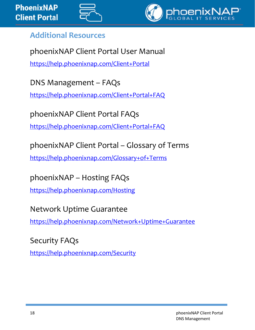



### <span id="page-17-0"></span>**Additional Resources**

phoenixNAP Client Portal User Manual <https://help.phoenixnap.com/Client+Portal>

DNS Management – FAQs

<https://help.phoenixnap.com/Client+Portal+FAQ>

phoenixNAP Client Portal FAQs

<https://help.phoenixnap.com/Client+Portal+FAQ>

phoenixNAP Client Portal – Glossary of Terms

<https://help.phoenixnap.com/Glossary+of+Terms>

phoenixNAP – Hosting FAQs

<https://help.phoenixnap.com/Hosting>

Network Uptime Guarantee

<https://help.phoenixnap.com/Network+Uptime+Guarantee>

Security FAQs

<https://help.phoenixnap.com/Security>